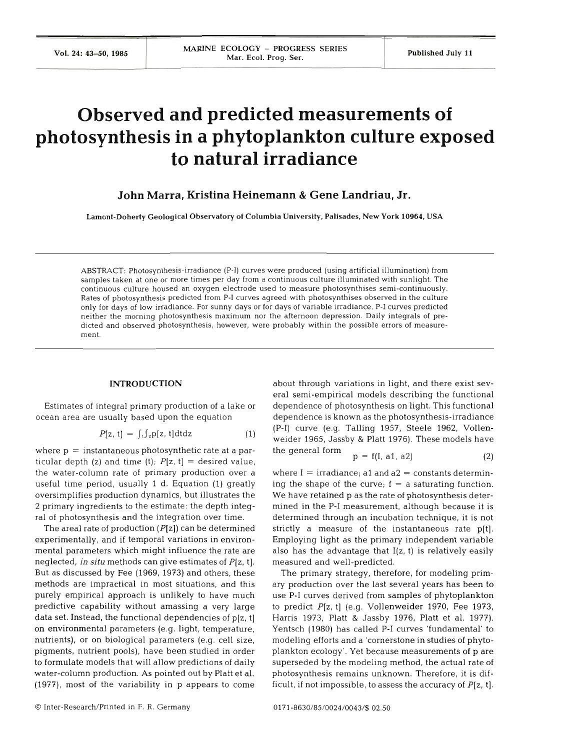# **Observed and predicted measurements of photosynthesis in a phytoplankton culture exposed to natural irradiance**

**John Marra, Kristina Heinemann** & **Gene Landriau, Jr.** 

**Lamont-Doherty Geological Observatory of Columbia University, Palisades, New York 10964, USA** 

ABSTRACT: Photosynthesis-irradiance (P-I) curves were produced (using artificial illumination) from samples taken at one or more times per day from a continuous culture illuminated with sunlight. The continuous culture housed an oxygen electrode used to measure photosynthises semi-continuously. Rates of photosynthesis predicted from P-I curves agreed with photosynthises observed in the culture only for days of low irradiance. For sunny days or for days of variable irradiance, P-I curves predicted neither the morning photosynthesis maximum nor the afternoon depression. Daily integrals of predicted and observed photosynthesis, however, were probably within the possible errors of measurement.

# **INTRODUCTION**

Estimates of integral primary production of a lake or ocean area are usually based upon the equation

$$
P[z, t] = \int_{t} \int_{z} p[z, t] dt dz
$$
 (1)

where  $p =$  instantaneous photosynthetic rate at a particular depth  $(z)$  and time  $(t)$ ;  $P[z, t] =$  desired value, the water-column rate of primary production over a useful time period, usually 1 d. Equation (1) greatly oversimplifies production dynamics, but illustrates the 2 primary ingredients to the estimate: the depth integral of photosynthesis and the integration over time.

The areal rate of production  $(P[z])$  can be determined experimentally, and if temporal variations in environmental parameters which might influence the rate are neglected, in **situ** methods can give estimates of P[z, t]. But as discussed by Fee (1969, 1973) and others, these methods are impractical in most situations, and this purely empirical approach is unlikely to have much predictive capability without amassing a very large data set. Instead, the functional dependencies of p[z, t] on environmental parameters (e.g. light, temperature, nutrients), or on biological parameters (e.g. cell size, pigments, nutrient pools), have been studied in order to formulate models that will allow predictions of daily water-column production. As pointed out by Platt et al. (1977), most of the variability in p appears to come

about through variations in light, and there exist several semi-empirical models describing the functional dependence of photosynthesis on light. This functional dependence is known as the photosynthesis-irradiance (P-I) curve (e.g. Talling 1957, Steele 1962, Vollenweider 1965, Jassby & Platt 1976). These models have the general form p = f(1, al, a2) **(2)** 

$$
p = f(I, a1, a2)
$$
 (2)

where  $I = irradiance$ ; a1 and a2 = constants determining the shape of the curve;  $f = a$  saturating function. We have retained p as the rate of photosynthesis determined in the P-I measurement, although because it is determined through an incubation technique, it is not strictly a measure of the instantaneous rate p[t]. Employing light as the primary independent variable also has the advantage that **I(z,** t) is relatively easily measured and well-predicted.

The primary strategy, therefore, for modeling primary production over the last several years has been to use P-I curves derived from samples of phytoplankton to predict P[z, t] (e.g. Vollenweider 1970, Fee 1973, Harris 1973, Platt & Jassby 1976, Platt et al. 1977). Yentsch (1980) has called P-I curves 'fundamental' to modeling efforts and a 'cornerstone in studies of phytoplankton ecology'. Yet because measurements of p are superseded by the modeling method, the actual rate of photosynthesis remains unknown. Therefore, it is difficult, if not impossible, to assess the accuracy of  $P[z, t]$ .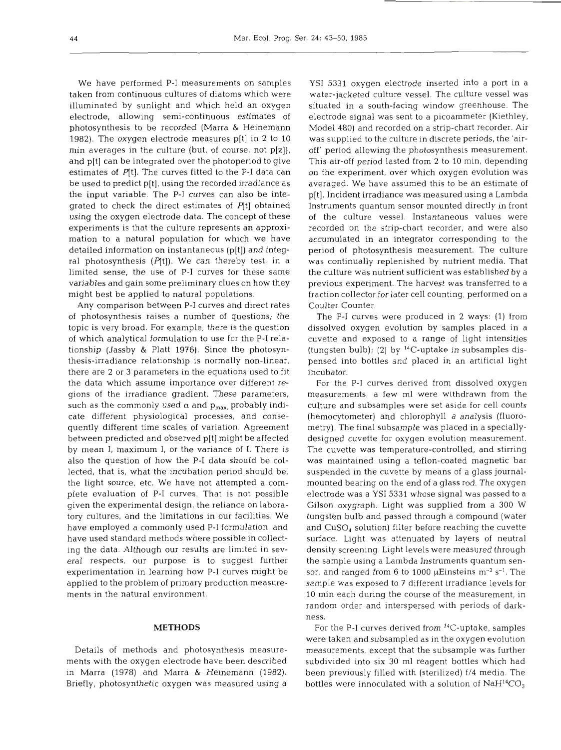We have performed P-I measurements on samples taken from continuous cultures of diatoms which were illuminated by sunlight and which held an oxygen electrode, allowing semi-continuous estimates of photosynthesis to be recorded (Marra & Heinemann 1982). The oxygen electrode measures p[t] in 2 to 10 min averages in the culture (but, of course, not  $p[z]$ ), and p[t] can be integrated over the photoperiod to give estimates of  $P[t]$ . The curves fitted to the P-I data can be used to predict p[tj, using the recorded irradiance as the input variable. The P-I curves can also be integrated to check the direct estimates of  $P[t]$  obtained using the oxygen electrode data. The concept of these experiments is that the culture represents an approximation to a natural population for which we have detailed information on instantaneous (p[t]) and integral photosynthesis  $(P[t])$ . We can thereby test, in a limited sense, the use of P-I curves for these same variables and gain some preliminary clues on how they might best be applied to natural populations.

Any comparison between P-I curves and direct rates of photosynthesis raises a number of questions; the topic is very broad. For example, there is the question of which analytical formulation to use for the P-I relationship (Jassby & Platt 1976). Since the photosynthesis-irradiance relationship is normally non-linear, there are 2 or **3** parameters in the equations used to fit the data which assume importance over different regions of the irradiance gradient. These parameters, such as the commonly used  $\alpha$  and  $p_{max}$  probably indicate different physiological processes, and consequently different time scales of variation. Agreement between predicted and observed p[t] might be affected by mean I, maximum I, or the variance of I. There is also the question of how the P-I data should be collected, that is, what the incubation period should be, the light source, etc. We have not attempted a complete evaluation of P-I curves. That is not possible given the experimental design, the reliance on laboratory cultures, and the limitations in our facilities. We have employed a commonly used P-I formulation, and have used standard methods where possible in collecting the data. Although our results are limited in several respects, our purpose is to suggest further experimentation in learning how P-I curves might be applied to the problem of primary production measurements in the natural environment.

ments with the oxygen electrode have been described subdivided into six 30 ml reagent bottles which had in Marra (1978) and Marra & Heinemann (1982). been previously filled with (sterilized) **fl4** media. The Briefly, photosynthetic oxygen was measured using a bottles were innoculated with a solution of  $\rm NaH^{14}CO_{3}$ 

YSI 5331 oxygen electrode inserted into a port in a water-jacketed culture vessel. The culture vessel was situated in a south-facing window greenhouse. The electrode signal was sent to a picoammeter (Kiethley, Model 480) and recorded on a strip-chart recorder. Air was supplied to the culture in discrete periods, the 'airoff' period allowing the photosynthesis measurement. This air-off period lasted from **2** to 10 min, depending on the experiment, over which oxygen evolution was averaged. We have assumed this to be an estimate of p[t]. Incident irradiance was measured using a Lambda Instruments quantum sensor mounted directly in front of the culture vessel. Instantaneous values were recorded on the strip-chart recorder, and were also accumulated in an integrator corresponding to the period of photosynthesis measurement. The culture was continually replenished by nutrient media. That the culture was nutrient sufficient was established by a previous experiment. The harvest was transferred to a fraction collector for later cell counting, performed on a Coulter Counter.

The P-I curves were produced in **2** ways: (1) from dissolved oxygen evolution by samples placed in a cuvette and exposed to a range of light intensities (tungsten bulb); (2) by  $^{14}$ C-uptake in subsamples dispensed into bottles and placed in an artificial light incubator.

For the P-I curves derived from dissolved oxygen measurements, a few m1 were withdrawn from the culture and subsamples were set aside for cell counts (hemocytometer) and chlorophyll a analysis (fluorometry). The final subsample was placed in a speciallydesigned cuvette for oxygen evolution measurement. The cuvette was temperature-controlled, and stirring was maintained using a teflon-coated magnetic bar suspended in the cuvette by means of a glass journalmounted bearing on the end of a glass rod. The oxygen electrode was a YSI 5331 whose signal was passed to a Gilson oxygraph. Light was supplied from a 300 W tungsten bulb and passed through a compound (water and  $CuSO<sub>4</sub>$  solution) filter before reaching the cuvette surface. Light was attenuated by layers of neutral density screening. Light levels were measured through the sample using a Lambda Instruments quantum sensor, and ranged from 6 to 1000  $\mu$ Einsteins m<sup>-2</sup> s<sup>-1</sup>. The sample was exposed to 7 different irradiance levels for 10 min each during the course of the measurement, in random order and interspersed with periods of darkness.

**METHODS For the P-I curves derived from <sup>14</sup>C-uptake, samples** were taken and subsampled as in the oxygen evolution Details of methods and photosynthesis measure- measurements, except that the subsample was further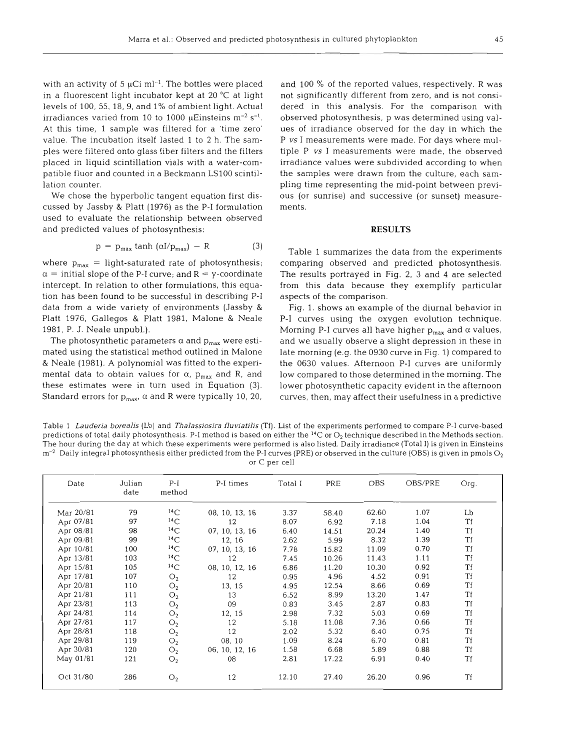with an activity of 5  $\mu$ Ci ml<sup>-1</sup>. The bottles were placed in a fluorescent light incubator kept at 20 "C at light levels of 100, *55,* 18, 9, and 1% of ambient light. Actual irradiances varied from 10 to 1000  $\mu$ Einsteins m<sup>-2</sup> s<sup>-1</sup>. At this time, 1 sample was filtered for a 'time zero' value. The incubation itself lasted 1 to 2 h. The samples were filtered onto glass fiber filters and the filters placed in liquid scintillation vials with a water-compatible fluor and counted in a Beckmann LSlOO scintillation counter.

We chose the hyperbolic tangent equation first discussed by Jassby & Platt (1976) as the P-I formulation used to evaluate the relationship between observed and predicted values of photosynthesis:

$$
p = p_{\text{max}} \tanh (\alpha I / p_{\text{max}}) - R \tag{3}
$$

where  $p_{max}$  = light-saturated rate of photosynthesis;  $\alpha$  = initial slope of the P-I curve; and R = y-coordinate intercept. In relation to other formulations, this equation has been found to be successful in describing P-I data from a wide variety of environments (Jassby & Platt 1976, Gallegos & Platt 1981, Malone & Neale 1981, P. J. Neale unpubl.).

The photosynthetic parameters  $\alpha$  and  $p_{max}$  were estimated using the statistical method outlined in Malone & Neale (1981). A polynomial was fitted to the experimental data to obtain values for  $\alpha$ ,  $p_{\text{max}}$  and R, and these estimates were in turn used in Equation **(3).**  Standard errors for  $p_{max}$ ,  $\alpha$  and R were typically 10, 20,

and 100 % of the reported values, respectively. R was not significantly different from zero, and is not considered in this analysis. For the comparison with observed photosynthesis, p was determined using values of irradiance observed for the day in which the P vs I measurements were made. For days where multiple P vs I measurements were made, the observed irradiance values were subdivided according to when the samples were drawn from the culture, each sampling time representing the mid-point between previous (or sunrise) and successive (or sunset) measurements.

#### **RESULTS**

Table 1 summarizes the data from the experiments comparing observed and predicted photosynthesis. The results portrayed in Fig. **2, 3** and 4 are selected from this data because they exemplify particular aspects of the comparison.

Fig. 1. shows an example of the diurnal behavior in P-I curves using the oxygen evolution technique. Morning P-I curves all have higher  $p_{max}$  and  $\alpha$  values, and we usually observe a slight depression in these in late morning (e.g. the 0930 curve in Fig. 1) compared to the 0630 values. Afternoon P-1 curves are uniformly low compared to those determined in the morning. The lower photosynthetic capacity evident in the afternoon curves, then, may affect their usefulness in a predictive

Table 1 *Lauderia borealis* (Lb) and *Thalassiosira fluviatilis* (Tf). List of the experiments performed to compare P-I curve-based predictions of total daily photosynthesis. P-I method is based on either the <sup>14</sup>C or O<sub>2</sub> technique described in the Methods section. The hour during the day at which these experiments were performed is also listed. Daily irradiance (Total I) is given in Einsteins  $m^{-2}$  Daily integral photosynthesis either predicted from the P-I curves (PRE) or observed in the culture (OBS) is given in pmols  $O<sub>2</sub>$ or C per cell

| Date      | Julian<br>date | $P-I$<br>method | P-I times      | Total I | PRE   | <b>OBS</b> | OBS/PRE | Org.      |
|-----------|----------------|-----------------|----------------|---------|-------|------------|---------|-----------|
| Mar 20/81 | 79             | $^{14}$ C       | 08, 10, 13, 16 | 3.37    | 58.40 | 62.60      | 1.07    | Lb        |
| Apr 07/81 | 97             | $^{14}$ C       | 12             | 8.07    | 6.92  | 7.18       | 1.04    | Τf        |
| Apr 08/81 | 98             | $^{14}$ C       | 07, 10, 13, 16 | 6.40    | 14.51 | 20.24      | 1.40    | Tf        |
| Apr 09/81 | 99             | 14C             | 12, 16         | 2.62    | 5.99  | 8.32       | 1.39    | Tf        |
| Apr 10/81 | 100            | $^{14}$ C       | 07, 10, 13, 16 | 7.78    | 15.82 | 11.09      | 0.70    | Tf        |
| Apr 13/81 | 103            | $^{14}$ C       | 12             | 7.45    | 10.26 | 11.43      | 1.11    | Τf        |
| Apr 15/81 | 105            | $^{14}$ C       | 08, 10, 12, 16 | 6.86    | 11.20 | 10.30      | 0.92    | <b>Tf</b> |
| Apr 17/81 | 107            | O <sub>2</sub>  | 12             | 0.95    | 4.96  | 4.52       | 0.91    | Tf        |
| Apr 20/81 | 110            | O <sub>2</sub>  | 13, 15         | 4.95    | 12.54 | 8.66       | 0.69    | <b>Tf</b> |
| Apr 21/81 | 111            | O <sub>2</sub>  | 13             | 6.52    | 8.99  | 13.20      | 1.47    | Tf        |
| Apr 23/81 | 113            | O <sub>2</sub>  | 09             | 0.83    | 3.45  | 2.87       | 0.83    | Tf        |
| Apr 24/81 | 114            | O <sub>2</sub>  | 12, 15         | 2.98    | 7.32  | 5.03       | 0.69    | Tf        |
| Apr 27/81 | 117            | O <sub>2</sub>  | 12             | 5.18    | 11.08 | 7.36       | 0.66    | Tf        |
| Apr 28/81 | 118            | O <sub>2</sub>  | 12             | 2.02    | 5.32  | 6.40       | 0.75    | Tf        |
| Apr 29/81 | 119            | O <sub>2</sub>  | 08.10          | 1.09    | 8.24  | 6.70       | 0.81    | Tf        |
| Apr 30/81 | 120            | O <sub>2</sub>  | 06, 10, 12, 16 | 1.58    | 6.68  | 5.89       | 0.88    | Tf        |
| May 01/81 | 121            | O <sub>2</sub>  | 08             | 2.81    | 17.22 | 6.91       | 0.40    | Tf        |
| Oct 31/80 | 286            | O <sub>2</sub>  | 12             | 12.10   | 27.40 | 26.20      | 0.96    | Tf        |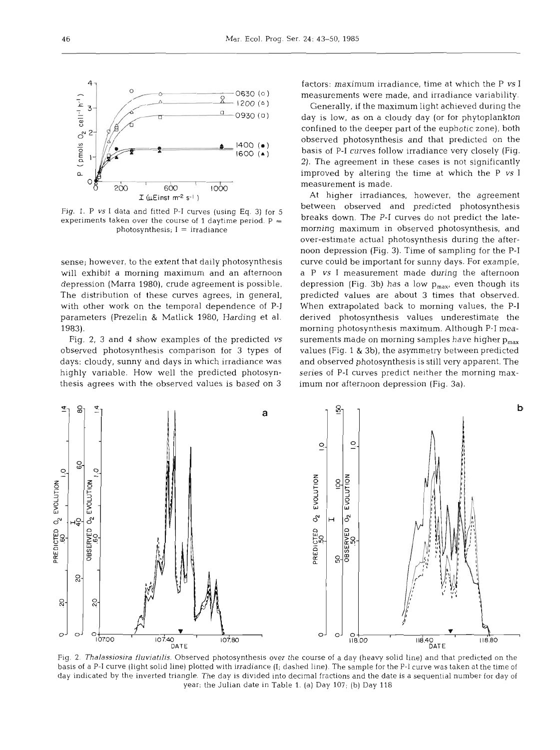

Fig. 1. P *vs* I data and fitted P-I curves (using Eq. **3)** for 5 experiments taken over the course of 1 daytime period.  $P =$ photosynthesis;  $I = irradiance$ 

sense; however, to the extent that daily photosynthesis will exhibit a morning maximum and an afternoon depression (Marra 1980), crude agreement is possible. The distribution of these curves agrees, in general, with other work on the temporal dependence of P-I parameters (Prezelin & Matlick 1980, Harding et al. 1983).

Fig. **2,** 3 and **4** show examples of the predicted **vs**  observed photosynthesis comparison for 3 types of days: cloudy, sunny and days in which irradiance was highly variable. How well the predicted photosynthesis agrees with the observed values is based on **3** 

factors: maximum irradiance, time at which the P **vs** I measurements were made, and irradiance variability.

Generally, if the maximum light achieved during the day is low, as on a cloudy day (or for phytoplankton confined to the deeper part of the euphotic zone), both observed photosynthesis and that predicted on the basis of P-I curves follow irradiance very closely (Fig. 2). The agreement in these cases is not significantly improved by altering the time at which the P **vs** I measurement is made.

At higher irradiances, however, the agreement between observed and predicted photosynthesis breaks down. The P-I curves do not predict the latemorning maximum in observed photosynthesis, and over-estimate actual photosynthesis during the afternoon depression (Fig. 3). Time of sampling for the P-I curve could be important for sunny days. For example, a P **vs** I measurement made during the afternoon depression (Fig. 3b) has a low  $p_{max}$ , even though its predicted values are about 3 times that observed. When extrapolated back to morning values, the P-I derived photosynthesis values underestimate the morning photosynthesis maximum. Although P-I measurements made on morning samples have higher  $p_{max}$ values (Fig. 1 & 3b), the asymmetry between predicted and observed photosynthesis is still very apparent. The series of P-I curves predict neither the morning maximum nor afternoon depression (Fig. 3a).



Fig. *2. Thalassiosira fluviatilis.* Observed photosynthesis over the course of a day (heavy solid line) and that predicted on the basis of a P-I curve (light solid line) plotted with irradiance (I; dashed line). The sample for the P-I curve was taken at the time of day indicated by the inverted triangle. The day is divided into decimal fractions and the date is a sequential number for day of year; the Julian date in Table **1.** (a) Day 107; (b) Day 118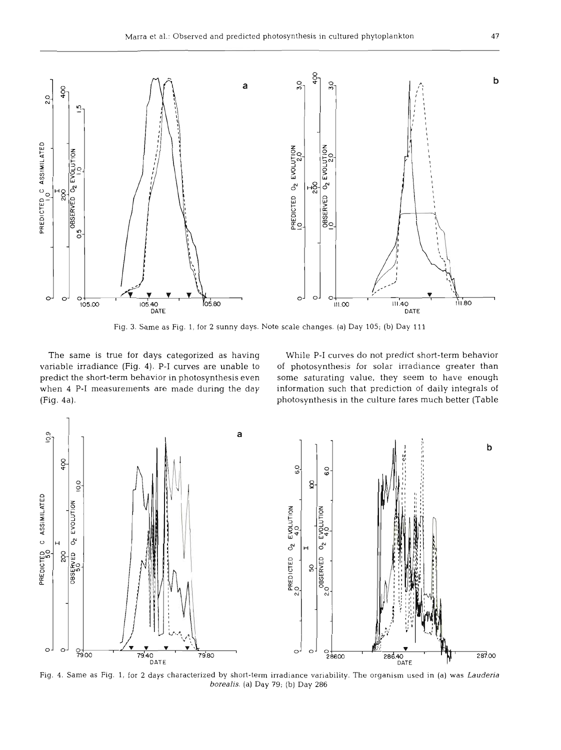

Fig. **3.** Same as Fig. 1, for **2** sunny days. Note scale changes. (a) Day 105; (b) Day 111

The same is true for days categorized as having While P-I curves do not predict short-term behavior variable irradiance (Fig. 4). P-I curves are unable to of photosynthesis for solar irradiance greater than predict the short-term behavior in photosynthesis even some saturating value, they seem to have enough when 4 P-I measurements are made during the day information such that prediction of daily integrals of (Fig. 4a). photosynthesis in the culture fares much better (Table



Fig. 4. Same as Fig. 1, for **2** days characterized by short-term irradiance variability. The organism used in (a) was *Lauderia borealis.* (a) Day 79; (b) Day 286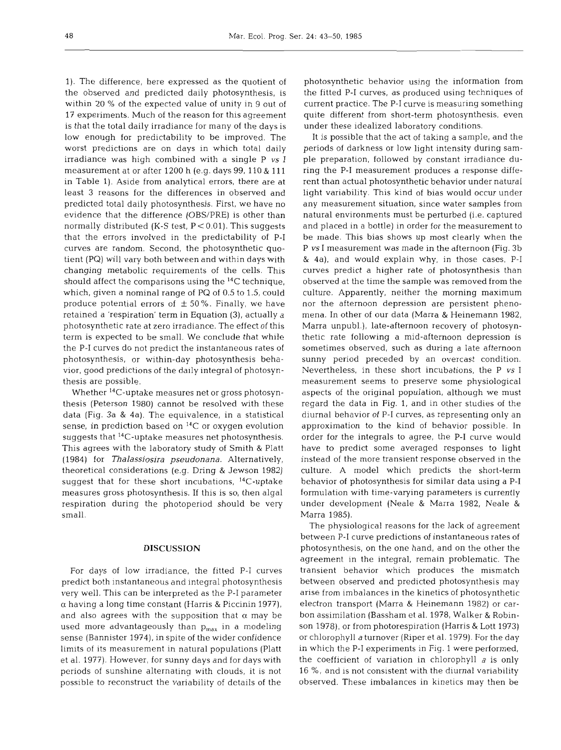1). The difference, here expressed as the quotient of the observed and predicted daily photosynthesis, is within 20 % of the expected value of unity in 9 out of 17 experiments. Much of the reason for this agreement is that the total daily irradiance for many of the days is low enough for predictability to be improved. The worst predictions are on days in which total daily irradiance was high combined with a single P vs I measurement at or after 1200 h (e.g. days 99, 110 & 111 in Table 1). Aside from analytical errors, there are at least 3 reasons for the differences in observed and predicted total daily photosynthesis. First, we have no evidence that the difference (OBS/PRE) is other than normally distributed (K-S test,  $P < 0.01$ ). This suggests that the errors involved in the predictability of P-I curves are random. Second, the photosynthetic quotient (PQ) will vary both between and within days with changing metabolic requirements of the cells. This should affect the comparisons using the 14C technique, which, given a nominal range of PQ of 0.5 to 1.5, could produce potential errors of  $\pm$  50%. Finally, we have retained a 'respiration' term in Equation **(3),** actually a photosynthetic rate at zero irradiance. The effect of this term is expected to be small. We conclude that while the P-I curves do not predict the instantaneous rates of photosynthesis, or within-day photosynthesis behavior, good predictions of the daily integral of photosynthesis are possible.

Whether 14C-uptake measures net or gross photosynthesis (Peterson 1980) cannot be resolved with these data (Fig. 3a & 4a). The equivalence, in a statistical sense, in prediction based on **14C** or oxygen evolution suggests that 14C-uptake measures net photosynthesis. This agrees with the laboratory study of Smith & Platt (1984) for **Thalassiosira pseudonana.** Alternatively, theoretical considerations (e.g. Dring & Jewson 1982) suggest that for these short incubations, <sup>14</sup>C-uptake measures gross photosynthesis. If this is so, then algal respiration during the photoperiod should be very small.

## **DISCUSSION**

For days of low irradiance, the fitted P-I curves predict both instantaneous and integral photosynthesis very well. This can be interpreted as the P-I parameter a having a long time constant (Harris & Piccinin 1977), and also agrees with the supposition that  $\alpha$  may be used more advantageously than  $p_{max}$  in a modeling sense (Bannister 1974), in spite of the wider confidence limits of its measurement in natural populations (Platt et al. 1977). However, for sunny days and for days with periods of sunshine alternating with clouds, it is not possible to reconstruct the variability of details of the

photosynthetic behavior using the information from the fitted P-I curves, as produced using techniques of current practice. The P-I curve is measuring something quite different from short-term photosynthesis, even under these idealized laboratory conditions.

It is possible that the act of taking a sample, and the periods of darkness or low light intensity during sample preparation, followed by constant irradiance during the P-I measurement produces a response different than actual photosynthetic behavior under natural light variability. This kind of bias would occur under any measurement situation, since water samples from natural environments must be perturbed (i.e. captured and placed in a bottle) in order for the measurement to be made. This bias shows up most clearly when the P **vs** I measurement was made in the afternoon (Fig. 3b & 4a), and would explain why, in those cases, P-I curves predict a higher rate of photosynthesis than observed at the time the sample was removed from the culture. Apparently, neither the morning maximum nor the afternoon depression are persistent phenomena. In other of our data (Marra & Heinemann 1982, Marra unpubl.), late-afternoon recovery of photosynthetic rate following a mid-afternoon depression is sometimes observed, such as during a late afternoon sunny period preceded by an overcast condition. Nevertheless, in these short incubations, the P **vs** I measurement seems to preserve some physiological aspects of the original population, although we must regard the data in Fig. 1, and in other studies of the diurnal behavior of P-I curves, as representing only an approximation to the kind of behavior possible. In order for the integrals to agree, the P-I curve would have to predict some averaged responses to light instead of the more transient response observed in the culture. **A** model which predicts the short-term behavior of photosynthesis for similar data using a P-I formulation with time-varying parameters is currently under development (Neale & Marra 1982, Neale & Marra 1985).

The physiological reasons for the lack of agreement between P-I curve predictions of instantaneous rates of photosynthesis, on the one hand, and on the other the agreement in the integral, remain problematic. The transient behavior which produces the mismatch between observed and predicted photosynthesis may arise from imbalances in the kinetics of photosynthetic electron transport (Marra & Heinemann 1982) or carbon assimilation (Bassham et al. 1978, Walker & Robinson 1978), or from photorespiration (Harris & Lott 1973) or chlorophyll **a** turnover (Riper et al. 1979). For the day in which the P-I experiments in Fig. 1 were performed, the coefficient of variation in chlorophyll  $a$  is only 16 %, and is not consistent with the diurnal variability observed. These imbalances in kinetics may then be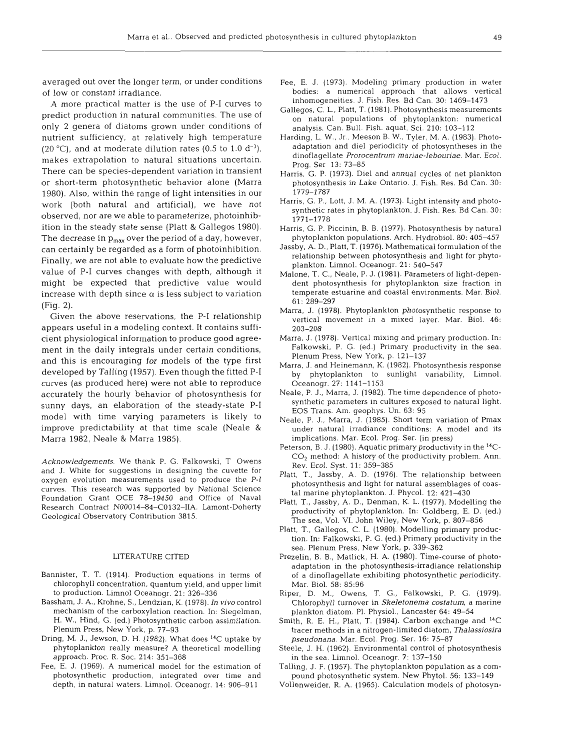averaged out over the longer term, or under conditions of low or constant irradiance.

**A** more practical matter is the use of P-I curves to predict production in natural communities. The use of only 2 genera of diatoms grown under conditions of nutrient sufficiency, at relatively high temperature (20 °C), and at moderate dilution rates (0.5 to 1.0  $d^{-1}$ ), makes extrapolation to natural situations uncertain. There can be species-dependent variation in transient or short-term photosynthetic behavior alone (Marra 1980). Also, within the range of light intensities in our work (both natural and artificial), we have not observed, nor are we able to parameterize, photoinhibition in the steady state sense (Platt & Gallegos 1980). The decrease in  $p_{max}$  over the period of a day, however, can certainly be regarded as a form of photoinhibition. Finally, we are not able to evaluate how the predictive value of P-I curves changes with depth, although it might be expected that predictive value would increase with depth since  $\alpha$  is less subject to variation (Fig. 2).

Given the above reservations, the P-I relationship appears useful in a modeling context. It contains sufficient physiological information to produce good agreement in the daily integrals under certain conditions, and this is encouraging for models of the type first developed by Talling (1957). Even though the fitted P-I curves (as produced here) were not able to reproduce accurately the hourly behavior of photosynthesis for sunny days, an elaboration of the steady-state P-I model with time varying parameters is likely to improve predictability at that time scale (Neale & Marra 1982, Neale & Marra 1985).

Acknowledgements. We thank P. G. Falkowski, T Owens and J. White for suggestions in designing the cuvette for oxygen evolution measurements used to produce the P-l curves. This research was supported by National Science Foundation Grant OCE 78-19450 and Office of Naval Research Contract N00014-84-C0132-IIA. Lamont-Doherty Geological Observatory Contribution 3815.

### LITERATURE CITED

- Bannister, T. T. (1914). Production equations in terms of chlorophyll concentration, quantum yield, and upper limit to production. Limnol Oceanogr. 21: 326-336
- Bassham, J. A., Krohne, S., Lendzian, K. (1978). In vivocontrol mechanism of the carboxylation reaction. In: Siegelman, H. W.. Hind, G. (ed.) Photosynthetic carbon assimilation. Plenum Press, New York, p. 77-93
- Dring, M. J., Jewson, D. H. (1982). What does <sup>14</sup>C uptake by phytoplankton really measure? A theoretical modelling approach. Proc. R. Soc. 214: 351-368
- Fee. E. J. (1969). **A** numerical model for the estimation of photosynthetic production, integrated over time and depth, in natural waters. Limnol. Oceanogr. 14: 906-911
- Fee, E. J. (1973). Modeling primary production in water bodies: a numerical approach that allows vertical inhomogeneities. J. Fish. Res. Bd Can. 30: 1469-1473
- Gallegos, C. L., Platt, T. (1981). Photosynthesis measurements on natural populations of phytoplankton: numerical analysis. Can. Bull. Fish. aquat. Sci. 210: 103-112
- Harding, L. W., Jr., Meeson B. W., Tyler, M. A. (1983). Photoadaptation and die1 periodicity of photosyntheses in the dinoflagellate Prorocentrum mariae-lebouriae. Mar. Ecol. Prog. Ser 13: 73-85
- Harris. G. P. (1973). Die1 and annual cycles of net plankton photosynthesis in Lake Ontario. J. Fish. Res. Bd Can. 30: 1779-1787
- Harris, G. P,, Lott, J. M. A. (1973). Light intensity and photosynthetic rates in phytoplankton. J. Fish. Res. Bd Can. 30: 1771-1778
- Harris, G. P. Piccinin, B. B. (1977). Photosynthesis by natural phytoplankton populations. Arch. Hydrobiol. 80: 405-457
- Jassby, **A.** D., Platt, T. (1976). Mathematical formulation of the relationship between photosynthesis and light for phytoplankton. Limnol. Oceanogr. 21: 540-547
- Malone, T. C., Neale, P. J. (1981). Parameters of light-dependent photosynthesis for phytoplankton size fraction in temperate estuarine and coastal environments. Mar. Biol. 61: 289-297
- Marra, J. (1978). Phytoplankton photosynthetic response to vertical movement in a mixed layer. Mar. Biol. 46: 203-208
- Marra, J. (1978). Vertical mixing and primary production. In: Falkowski, P. G. (ed.) Primary productivity in the sea. Plenum Press, New York, p. 121-137
- Marra. J. and Heinemann. K. (1982). Photosynthesis response by phytoplankton to sunlight variability, Limnol. Oceanogr. 27: 1141-1153
- Neale, P. J., Marra, J. (1982). The time dependence of photosynthetic parameters in cultures exposed to natural light. EOS Trans. Am. geophys. Un. 63: 95
- Neale, P. J., Marra, J. (1985). Short term variation of Pmax under natural irradiance conditions: A model and its implications. Mar. Ecol. Prog. Ser. (in press)
- Peterson, B. J. (1980). Aquatic primary productivity in the **14C-**CO2 method: **A** history of the productivity problem. Ann. Rev. Ecol. Syst. 11: 359-385
- Platt. T., Jassby, A. D. (1976). The relationship between photosynthesis and light for natural assemblages of coastal marine phytoplankton. J. Phycol. 12: 421-430
- Platt, T., Jassby, **A.** D., Denman, K. L. (1977). Modelling the productivity of phytoplankton. In: Goldberg, E. D. (ed.) The sea, Vol. VI. John Wiley, New York, p. 807-856
- Platt, T.. Gallegos, C. L. (1980). Modelling primary production. In: Falkowski. P. G. (ed.) Primary productivity in the sea. Plenum Press, New York, p. 339-362
- Prezelin, B. B., Matlick, H. A. (1980). Time-course of photoadaptation in the photosynthesis-irradiance relationship of a dinoflagellate exhibiting photosynthetic periodicity. Mar. Biol. 58: 85:96
- Riper, D. M., Owens, T. G., Falkowski, P. G. (1979). Chlorophyll turnover in Skeletonema costatum, a marine plankton diatom. PI. Physiol., Lancaster 64: 49-54
- Smith, R. E. H., Platt, T. (1984). Carbon exchange and <sup>14</sup>C tracer methods in a nitrogen-limited diatom, Thalassiosira pseudonana. Mar. Ecol. Prog. Ser. 16: 75-87
- Steele, J. H. (1962). Environmental control of photosynthesis in the sea. Limnol. Oceanogr. 7: 137-150
- Talling, J. F. (1957). The phytoplankton population as a compound photosynthetic system. New Phytol. 56: 133-149
- Vollenweider, R. A. (1965). Calculation models of photosyn-